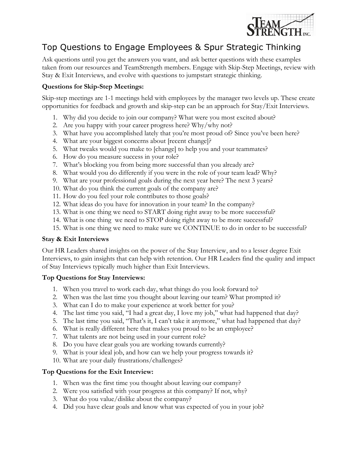

# Top Questions to Engage Employees & Spur Strategic Thinking

Ask questions until you get the answers you want, and ask better questions with these examples taken from our resources and TeamStrength members. Engage with Skip-Step Meetings, review with Stay & Exit Interviews, and evolve with questions to jumpstart strategic thinking.

## **Questions for Skip-Step Meetings:**

Skip-step meetings are 1-1 meetings held with employees by the manager two levels up. These create opportunities for feedback and growth and skip-step can be an approach for Stay/Exit Interviews.

- 1. Why did you decide to join our company? What were you most excited about?
- 2. Are you happy with your career progress here? Why/why not?
- 3. What have you accomplished lately that you're most proud of? Since you've been here?
- 4. What are your biggest concerns about [recent change]?
- 5. What tweaks would you make to [change] to help you and your teammates?
- 6. How do you measure success in your role?
- 7. What's blocking you from being more successful than you already are?
- 8. What would you do differently if you were in the role of your team lead? Why?
- 9. What are your professional goals during the next year here? The next 3 years?
- 10. What do you think the current goals of the company are?
- 11. How do you feel your role contributes to those goals?
- 12. What ideas do you have for innovation in your team? In the company?
- 13. What is one thing we need to START doing right away to be more successful?
- 14. What is one thing we need to STOP doing right away to be more successful?
- 15. What is one thing we need to make sure we CONTINUE to do in order to be successful?

#### **Stay & Exit Interviews**

Our HR Leaders shared insights on the power of the Stay Interview, and to a lesser degree Exit Interviews, to gain insights that can help with retention. Our HR Leaders find the quality and impact of Stay Interviews typically much higher than Exit Interviews.

#### **Top Questions for Stay Interviews:**

- 1. When you travel to work each day, what things do you look forward to?
- 2. When was the last time you thought about leaving our team? What prompted it?
- 3. What can I do to make your experience at work better for you?
- 4. The last time you said, "I had a great day, I love my job," what had happened that day?
- 5. The last time you said, "That's it, I can't take it anymore," what had happened that day?
- 6. What is really different here that makes you proud to be an employee?
- 7. What talents are not being used in your current role?
- 8. Do you have clear goals you are working towards currently?
- 9. What is your ideal job, and how can we help your progress towards it?
- 10. What are your daily frustrations/challenges?

#### **Top Questions for the Exit Interview:**

- 1. When was the first time you thought about leaving our company?
- 2. Were you satisfied with your progress at this company? If not, why?
- 3. What do you value/dislike about the company?
- 4. Did you have clear goals and know what was expected of you in your job?